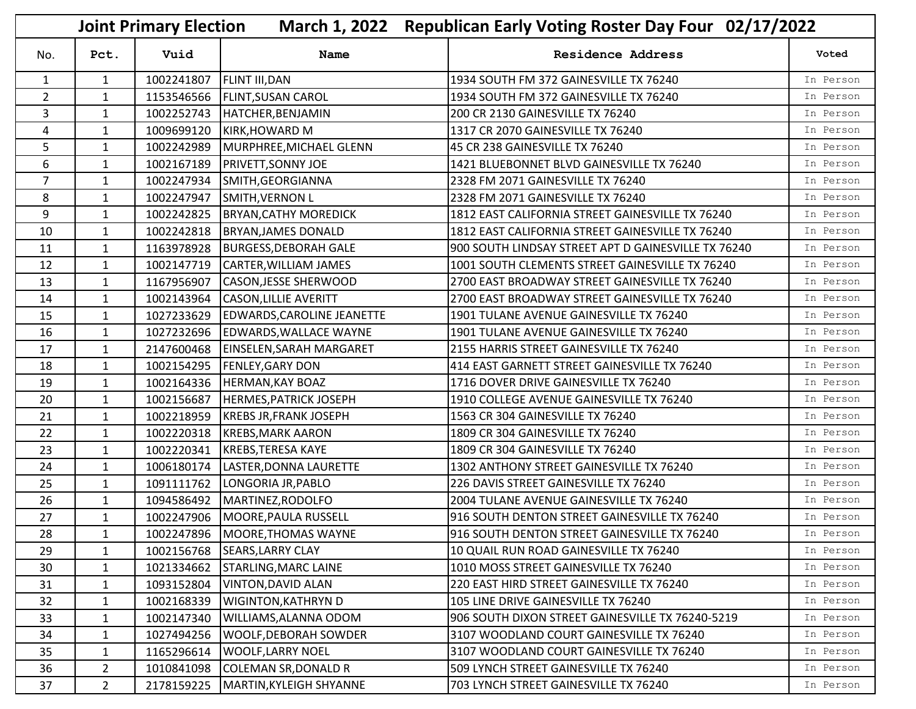|                | <b>Joint Primary Election</b><br>March 1, 2022 Republican Early Voting Roster Day Four 02/17/2022 |            |                                   |                                                     |           |  |
|----------------|---------------------------------------------------------------------------------------------------|------------|-----------------------------------|-----------------------------------------------------|-----------|--|
| No.            | Pct.                                                                                              | Vuid       | Name                              | <b>Residence Address</b>                            | Voted     |  |
| $\mathbf{1}$   | $\mathbf{1}$                                                                                      | 1002241807 | <b>FLINT III, DAN</b>             | 1934 SOUTH FM 372 GAINESVILLE TX 76240              | In Person |  |
| $\overline{2}$ | $\mathbf{1}$                                                                                      | 1153546566 | <b>FLINT, SUSAN CAROL</b>         | 1934 SOUTH FM 372 GAINESVILLE TX 76240              | In Person |  |
| 3              | $\mathbf{1}$                                                                                      | 1002252743 | HATCHER, BENJAMIN                 | 200 CR 2130 GAINESVILLE TX 76240                    | In Person |  |
| 4              | $\mathbf{1}$                                                                                      | 1009699120 | KIRK, HOWARD M                    | 1317 CR 2070 GAINESVILLE TX 76240                   | In Person |  |
| 5              | $\mathbf{1}$                                                                                      | 1002242989 | MURPHREE, MICHAEL GLENN           | 45 CR 238 GAINESVILLE TX 76240                      | In Person |  |
| 6              | $\mathbf{1}$                                                                                      | 1002167189 | <b>PRIVETT, SONNY JOE</b>         | 1421 BLUEBONNET BLVD GAINESVILLE TX 76240           | In Person |  |
| $\overline{7}$ | $\mathbf{1}$                                                                                      | 1002247934 | SMITH, GEORGIANNA                 | 2328 FM 2071 GAINESVILLE TX 76240                   | In Person |  |
| 8              | $\mathbf{1}$                                                                                      | 1002247947 | <b>SMITH, VERNON L</b>            | 2328 FM 2071 GAINESVILLE TX 76240                   | In Person |  |
| 9              | $\mathbf{1}$                                                                                      | 1002242825 | <b>BRYAN, CATHY MOREDICK</b>      | 1812 EAST CALIFORNIA STREET GAINESVILLE TX 76240    | In Person |  |
| 10             | $\mathbf{1}$                                                                                      | 1002242818 | <b>BRYAN, JAMES DONALD</b>        | 1812 EAST CALIFORNIA STREET GAINESVILLE TX 76240    | In Person |  |
| 11             | $\mathbf{1}$                                                                                      | 1163978928 | <b>BURGESS, DEBORAH GALE</b>      | 900 SOUTH LINDSAY STREET APT D GAINESVILLE TX 76240 | In Person |  |
| 12             | $\mathbf{1}$                                                                                      | 1002147719 | CARTER, WILLIAM JAMES             | 1001 SOUTH CLEMENTS STREET GAINESVILLE TX 76240     | In Person |  |
| 13             | $\mathbf{1}$                                                                                      | 1167956907 | <b>CASON, JESSE SHERWOOD</b>      | 2700 EAST BROADWAY STREET GAINESVILLE TX 76240      | In Person |  |
| 14             | $\mathbf{1}$                                                                                      | 1002143964 | <b>CASON, LILLIE AVERITT</b>      | 2700 EAST BROADWAY STREET GAINESVILLE TX 76240      | In Person |  |
| 15             | $\mathbf{1}$                                                                                      | 1027233629 | <b>EDWARDS, CAROLINE JEANETTE</b> | 1901 TULANE AVENUE GAINESVILLE TX 76240             | In Person |  |
| 16             | $\mathbf{1}$                                                                                      | 1027232696 | <b>EDWARDS, WALLACE WAYNE</b>     | 1901 TULANE AVENUE GAINESVILLE TX 76240             | In Person |  |
| 17             | $\mathbf{1}$                                                                                      | 2147600468 | EINSELEN, SARAH MARGARET          | 2155 HARRIS STREET GAINESVILLE TX 76240             | In Person |  |
| 18             | $\mathbf{1}$                                                                                      | 1002154295 | <b>FENLEY, GARY DON</b>           | 414 EAST GARNETT STREET GAINESVILLE TX 76240        | In Person |  |
| 19             | $\mathbf{1}$                                                                                      | 1002164336 | <b>HERMAN, KAY BOAZ</b>           | 1716 DOVER DRIVE GAINESVILLE TX 76240               | In Person |  |
| 20             | $\mathbf{1}$                                                                                      | 1002156687 | <b>HERMES, PATRICK JOSEPH</b>     | 1910 COLLEGE AVENUE GAINESVILLE TX 76240            | In Person |  |
| 21             | $\mathbf{1}$                                                                                      | 1002218959 | <b>KREBS JR, FRANK JOSEPH</b>     | 1563 CR 304 GAINESVILLE TX 76240                    | In Person |  |
| 22             | $\mathbf{1}$                                                                                      | 1002220318 | <b>KREBS, MARK AARON</b>          | 1809 CR 304 GAINESVILLE TX 76240                    | In Person |  |
| 23             | $\mathbf{1}$                                                                                      | 1002220341 | KREBS, TERESA KAYE                | 1809 CR 304 GAINESVILLE TX 76240                    | In Person |  |
| 24             | $\mathbf{1}$                                                                                      | 1006180174 | LASTER, DONNA LAURETTE            | 1302 ANTHONY STREET GAINESVILLE TX 76240            | In Person |  |
| 25             | $\mathbf{1}$                                                                                      | 1091111762 | LONGORIA JR, PABLO                | 226 DAVIS STREET GAINESVILLE TX 76240               | In Person |  |
| 26             | $\mathbf{1}$                                                                                      | 1094586492 | MARTINEZ, RODOLFO                 | 2004 TULANE AVENUE GAINESVILLE TX 76240             | In Person |  |
| 27             | $\mathbf{1}$                                                                                      |            | 1002247906   MOORE, PAULA RUSSELL | 916 SOUTH DENTON STREET GAINESVILLE TX 76240        | In Person |  |
| 28             | $\mathbf{1}$                                                                                      |            | 1002247896 MOORE, THOMAS WAYNE    | 916 SOUTH DENTON STREET GAINESVILLE TX 76240        | In Person |  |
| 29             | $\mathbf{1}$                                                                                      | 1002156768 | <b>SEARS, LARRY CLAY</b>          | 10 QUAIL RUN ROAD GAINESVILLE TX 76240              | In Person |  |
| 30             | $\mathbf{1}$                                                                                      | 1021334662 | <b>STARLING, MARC LAINE</b>       | 1010 MOSS STREET GAINESVILLE TX 76240               | In Person |  |
| 31             | 1                                                                                                 | 1093152804 | <b>VINTON, DAVID ALAN</b>         | 220 EAST HIRD STREET GAINESVILLE TX 76240           | In Person |  |
| 32             | $\mathbf{1}$                                                                                      | 1002168339 | <b>WIGINTON, KATHRYN D</b>        | 105 LINE DRIVE GAINESVILLE TX 76240                 | In Person |  |
| 33             | $\mathbf{1}$                                                                                      | 1002147340 | <b>WILLIAMS, ALANNA ODOM</b>      | 906 SOUTH DIXON STREET GAINESVILLE TX 76240-5219    | In Person |  |
| 34             | $\mathbf{1}$                                                                                      | 1027494256 | <b>WOOLF, DEBORAH SOWDER</b>      | 3107 WOODLAND COURT GAINESVILLE TX 76240            | In Person |  |
| 35             | $\mathbf{1}$                                                                                      | 1165296614 | <b>WOOLF, LARRY NOEL</b>          | 3107 WOODLAND COURT GAINESVILLE TX 76240            | In Person |  |
| 36             | $\overline{2}$                                                                                    | 1010841098 | <b>COLEMAN SR, DONALD R</b>       | 509 LYNCH STREET GAINESVILLE TX 76240               | In Person |  |
| 37             | 2 <sup>1</sup>                                                                                    | 2178159225 | MARTIN, KYLEIGH SHYANNE           | 703 LYNCH STREET GAINESVILLE TX 76240               | In Person |  |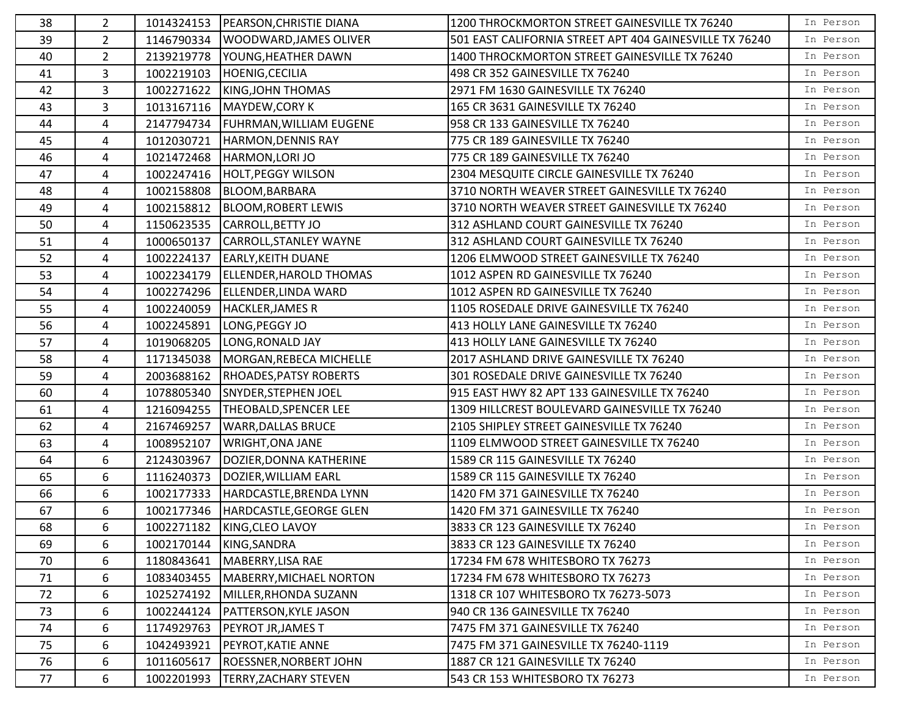| 38 | $\mathbf{2}^{\prime}$ |            | 1014324153   PEARSON, CHRISTIE DIANA | 1200 THROCKMORTON STREET GAINESVILLE TX 76240           | In Person |
|----|-----------------------|------------|--------------------------------------|---------------------------------------------------------|-----------|
| 39 | $2^{\circ}$           |            | 1146790334   WOODWARD, JAMES OLIVER  | 501 EAST CALIFORNIA STREET APT 404 GAINESVILLE TX 76240 | In Person |
| 40 | $\overline{2}$        |            | 2139219778   YOUNG, HEATHER DAWN     | 1400 THROCKMORTON STREET GAINESVILLE TX 76240           | In Person |
| 41 | 3                     | 1002219103 | HOENIG, CECILIA                      | 498 CR 352 GAINESVILLE TX 76240                         | In Person |
| 42 | 3                     | 1002271622 | KING, JOHN THOMAS                    | 2971 FM 1630 GAINESVILLE TX 76240                       | In Person |
| 43 | 3                     | 1013167116 | MAYDEW, CORY K                       | 165 CR 3631 GAINESVILLE TX 76240                        | In Person |
| 44 | 4                     |            | 2147794734   FUHRMAN, WILLIAM EUGENE | 958 CR 133 GAINESVILLE TX 76240                         | In Person |
| 45 | 4                     | 1012030721 | HARMON, DENNIS RAY                   | 775 CR 189 GAINESVILLE TX 76240                         | In Person |
| 46 | $\overline{4}$        | 1021472468 | HARMON, LORI JO                      | 775 CR 189 GAINESVILLE TX 76240                         | In Person |
| 47 | 4                     |            | 1002247416  HOLT, PEGGY WILSON       | 2304 MESQUITE CIRCLE GAINESVILLE TX 76240               | In Person |
| 48 | 4                     | 1002158808 | BLOOM, BARBARA                       | 3710 NORTH WEAVER STREET GAINESVILLE TX 76240           | In Person |
| 49 | 4                     | 1002158812 | BLOOM, ROBERT LEWIS                  | 3710 NORTH WEAVER STREET GAINESVILLE TX 76240           | In Person |
| 50 | 4                     | 1150623535 | CARROLL, BETTY JO                    | 312 ASHLAND COURT GAINESVILLE TX 76240                  | In Person |
| 51 | 4                     | 1000650137 | CARROLL, STANLEY WAYNE               | 312 ASHLAND COURT GAINESVILLE TX 76240                  | In Person |
| 52 | 4                     | 1002224137 | <b>EARLY, KEITH DUANE</b>            | 1206 ELMWOOD STREET GAINESVILLE TX 76240                | In Person |
| 53 | $\overline{4}$        | 1002234179 | ELLENDER, HAROLD THOMAS              | 1012 ASPEN RD GAINESVILLE TX 76240                      | In Person |
| 54 | 4                     | 1002274296 | ELLENDER, LINDA WARD                 | 1012 ASPEN RD GAINESVILLE TX 76240                      | In Person |
| 55 | 4                     | 1002240059 | <b>HACKLER, JAMES R</b>              | 1105 ROSEDALE DRIVE GAINESVILLE TX 76240                | In Person |
| 56 | 4                     | 1002245891 | LONG, PEGGY JO                       | 413 HOLLY LANE GAINESVILLE TX 76240                     | In Person |
| 57 | 4                     | 1019068205 | LONG, RONALD JAY                     | 413 HOLLY LANE GAINESVILLE TX 76240                     | In Person |
| 58 | $\overline{4}$        |            | 1171345038 MORGAN, REBECA MICHELLE   | 2017 ASHLAND DRIVE GAINESVILLE TX 76240                 | In Person |
| 59 | 4                     | 2003688162 | <b>RHOADES, PATSY ROBERTS</b>        | 301 ROSEDALE DRIVE GAINESVILLE TX 76240                 | In Person |
| 60 | 4                     | 1078805340 | SNYDER, STEPHEN JOEL                 | 915 EAST HWY 82 APT 133 GAINESVILLE TX 76240            | In Person |
| 61 | 4                     | 1216094255 | THEOBALD, SPENCER LEE                | 1309 HILLCREST BOULEVARD GAINESVILLE TX 76240           | In Person |
| 62 | 4                     | 2167469257 | <b>WARR, DALLAS BRUCE</b>            | 2105 SHIPLEY STREET GAINESVILLE TX 76240                | In Person |
| 63 | 4                     | 1008952107 | <b>WRIGHT, ONA JANE</b>              | 1109 ELMWOOD STREET GAINESVILLE TX 76240                | In Person |
| 64 | 6                     | 2124303967 | DOZIER, DONNA KATHERINE              | 1589 CR 115 GAINESVILLE TX 76240                        | In Person |
| 65 | 6                     | 1116240373 | DOZIER, WILLIAM EARL                 | 1589 CR 115 GAINESVILLE TX 76240                        | In Person |
| 66 | 6                     | 1002177333 | HARDCASTLE, BRENDA LYNN              | 1420 FM 371 GAINESVILLE TX 76240                        | In Person |
| 67 | 6                     | 1002177346 | HARDCASTLE, GEORGE GLEN              | 1420 FM 371 GAINESVILLE TX 76240                        | In Person |
| 68 | 6                     |            | 1002271182 KING, CLEO LAVOY          | 3833 CR 123 GAINESVILLE TX 76240                        | In Person |
| 69 | 6                     |            | 1002170144 KING, SANDRA              | 3833 CR 123 GAINESVILLE TX 76240                        | In Person |
| 70 | 6                     | 1180843641 | MABERRY, LISA RAE                    | 17234 FM 678 WHITESBORO TX 76273                        | In Person |
| 71 | 6                     | 1083403455 | MABERRY, MICHAEL NORTON              | 17234 FM 678 WHITESBORO TX 76273                        | In Person |
| 72 | 6                     | 1025274192 | MILLER, RHONDA SUZANN                | 1318 CR 107 WHITESBORO TX 76273-5073                    | In Person |
| 73 | 6                     | 1002244124 | <b>PATTERSON, KYLE JASON</b>         | 940 CR 136 GAINESVILLE TX 76240                         | In Person |
| 74 | 6                     | 1174929763 | PEYROT JR, JAMES T                   | 7475 FM 371 GAINESVILLE TX 76240                        | In Person |
| 75 | 6                     | 1042493921 | PEYROT, KATIE ANNE                   | 7475 FM 371 GAINESVILLE TX 76240-1119                   | In Person |
| 76 | 6                     | 1011605617 | ROESSNER, NORBERT JOHN               | 1887 CR 121 GAINESVILLE TX 76240                        | In Person |
| 77 | 6                     | 1002201993 | <b>TERRY, ZACHARY STEVEN</b>         | 543 CR 153 WHITESBORO TX 76273                          | In Person |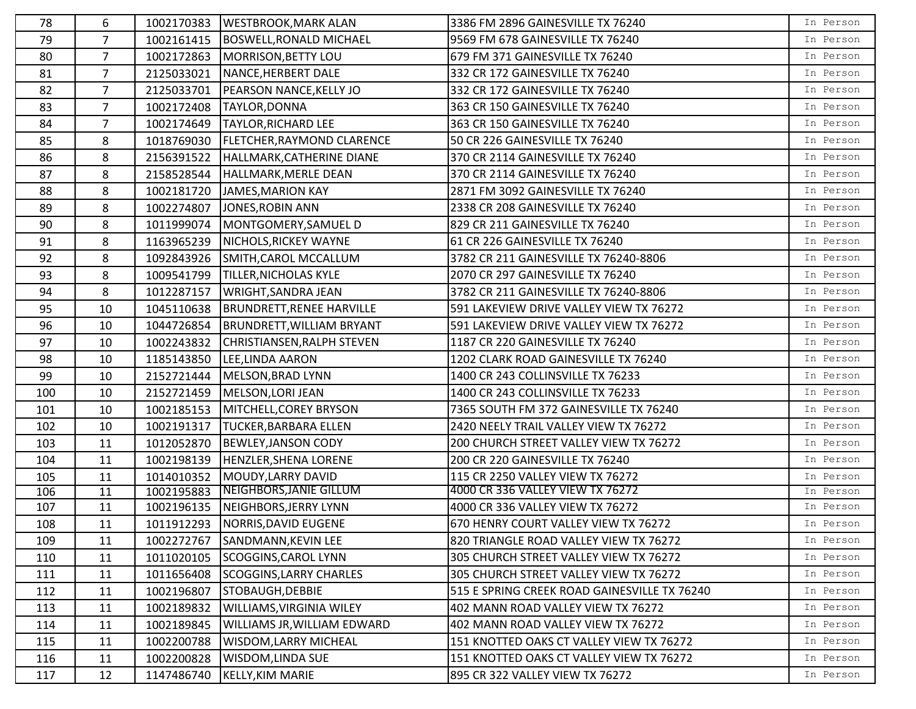| 78  | 6              | 1002170383 | <b>WESTBROOK, MARK ALAN</b>       | 3386 FM 2896 GAINESVILLE TX 76240            | In Person |
|-----|----------------|------------|-----------------------------------|----------------------------------------------|-----------|
| 79  | $\overline{7}$ | 1002161415 | <b>BOSWELL, RONALD MICHAEL</b>    | 9569 FM 678 GAINESVILLE TX 76240             | In Person |
| 80  | $\overline{7}$ | 1002172863 | MORRISON, BETTY LOU               | 679 FM 371 GAINESVILLE TX 76240              | In Person |
| 81  | $\overline{7}$ | 2125033021 | NANCE, HERBERT DALE               | 332 CR 172 GAINESVILLE TX 76240              | In Person |
| 82  | $\overline{7}$ | 2125033701 | <b>PEARSON NANCE, KELLY JO</b>    | 332 CR 172 GAINESVILLE TX 76240              | In Person |
| 83  | $\overline{7}$ | 1002172408 | TAYLOR, DONNA                     | 363 CR 150 GAINESVILLE TX 76240              | In Person |
| 84  | $\overline{7}$ | 1002174649 | <b>TAYLOR, RICHARD LEE</b>        | 363 CR 150 GAINESVILLE TX 76240              | In Person |
| 85  | 8              | 1018769030 | <b>FLETCHER, RAYMOND CLARENCE</b> | 50 CR 226 GAINESVILLE TX 76240               | In Person |
| 86  | 8              | 2156391522 | HALLMARK, CATHERINE DIANE         | 370 CR 2114 GAINESVILLE TX 76240             | In Person |
| 87  | 8              | 2158528544 | HALLMARK, MERLE DEAN              | 370 CR 2114 GAINESVILLE TX 76240             | In Person |
| 88  | 8              | 1002181720 | JAMES, MARION KAY                 | 2871 FM 3092 GAINESVILLE TX 76240            | In Person |
| 89  | 8              | 1002274807 | JONES, ROBIN ANN                  | 2338 CR 208 GAINESVILLE TX 76240             | In Person |
| 90  | 8              | 1011999074 | MONTGOMERY, SAMUEL D              | 829 CR 211 GAINESVILLE TX 76240              | In Person |
| 91  | 8              | 1163965239 | NICHOLS, RICKEY WAYNE             | 61 CR 226 GAINESVILLE TX 76240               | In Person |
| 92  | 8              | 1092843926 | SMITH, CAROL MCCALLUM             | 3782 CR 211 GAINESVILLE TX 76240-8806        | In Person |
| 93  | 8              | 1009541799 | <b>TILLER, NICHOLAS KYLE</b>      | 2070 CR 297 GAINESVILLE TX 76240             | In Person |
| 94  | 8              | 1012287157 | WRIGHT, SANDRA JEAN               | 3782 CR 211 GAINESVILLE TX 76240-8806        | In Person |
| 95  | 10             | 1045110638 | <b>BRUNDRETT, RENEE HARVILLE</b>  | 591 LAKEVIEW DRIVE VALLEY VIEW TX 76272      | In Person |
| 96  | 10             | 1044726854 | <b>BRUNDRETT, WILLIAM BRYANT</b>  | 591 LAKEVIEW DRIVE VALLEY VIEW TX 76272      | In Person |
| 97  | 10             | 1002243832 | CHRISTIANSEN, RALPH STEVEN        | 1187 CR 220 GAINESVILLE TX 76240             | In Person |
| 98  | 10             | 1185143850 | LEE, LINDA AARON                  | 1202 CLARK ROAD GAINESVILLE TX 76240         | In Person |
| 99  | 10             | 2152721444 | MELSON, BRAD LYNN                 | 1400 CR 243 COLLINSVILLE TX 76233            | In Person |
| 100 | 10             | 2152721459 | MELSON, LORI JEAN                 | 1400 CR 243 COLLINSVILLE TX 76233            | In Person |
| 101 | 10             | 1002185153 | MITCHELL, COREY BRYSON            | 7365 SOUTH FM 372 GAINESVILLE TX 76240       | In Person |
| 102 | 10             | 1002191317 | <b>TUCKER, BARBARA ELLEN</b>      | 2420 NEELY TRAIL VALLEY VIEW TX 76272        | In Person |
| 103 | 11             | 1012052870 | <b>BEWLEY, JANSON CODY</b>        | 200 CHURCH STREET VALLEY VIEW TX 76272       | In Person |
| 104 | 11             | 1002198139 | HENZLER, SHENA LORENE             | 200 CR 220 GAINESVILLE TX 76240              | In Person |
| 105 | 11             | 1014010352 | MOUDY, LARRY DAVID                | 115 CR 2250 VALLEY VIEW TX 76272             | In Person |
| 106 | 11             | 1002195883 | NEIGHBORS, JANIE GILLUM           | 4000 CR 336 VALLEY VIEW TX 76272             | In Person |
| 107 | 11             | 1002196135 | NEIGHBORS, JERRY LYNN             | 4000 CR 336 VALLEY VIEW TX 76272             | In Person |
| 108 | 11             | 1011912293 | NORRIS, DAVID EUGENE              | 670 HENRY COURT VALLEY VIEW TX 76272         | In Person |
| 109 | 11             | 1002272767 | SANDMANN, KEVIN LEE               | 820 TRIANGLE ROAD VALLEY VIEW TX 76272       | In Person |
| 110 | 11             | 1011020105 | <b>SCOGGINS, CAROL LYNN</b>       | 305 CHURCH STREET VALLEY VIEW TX 76272       | In Person |
| 111 | 11             | 1011656408 | <b>SCOGGINS, LARRY CHARLES</b>    | 305 CHURCH STREET VALLEY VIEW TX 76272       | In Person |
| 112 | 11             | 1002196807 | STOBAUGH, DEBBIE                  | 515 E SPRING CREEK ROAD GAINESVILLE TX 76240 | In Person |
| 113 | 11             | 1002189832 | <b>WILLIAMS, VIRGINIA WILEY</b>   | 402 MANN ROAD VALLEY VIEW TX 76272           | In Person |
| 114 | 11             | 1002189845 | WILLIAMS JR, WILLIAM EDWARD       | 402 MANN ROAD VALLEY VIEW TX 76272           | In Person |
| 115 | 11             | 1002200788 | WISDOM, LARRY MICHEAL             | 151 KNOTTED OAKS CT VALLEY VIEW TX 76272     | In Person |
| 116 | 11             | 1002200828 | <b>WISDOM, LINDA SUE</b>          | 151 KNOTTED OAKS CT VALLEY VIEW TX 76272     | In Person |
| 117 | 12             | 1147486740 | <b>KELLY, KIM MARIE</b>           | 895 CR 322 VALLEY VIEW TX 76272              | In Person |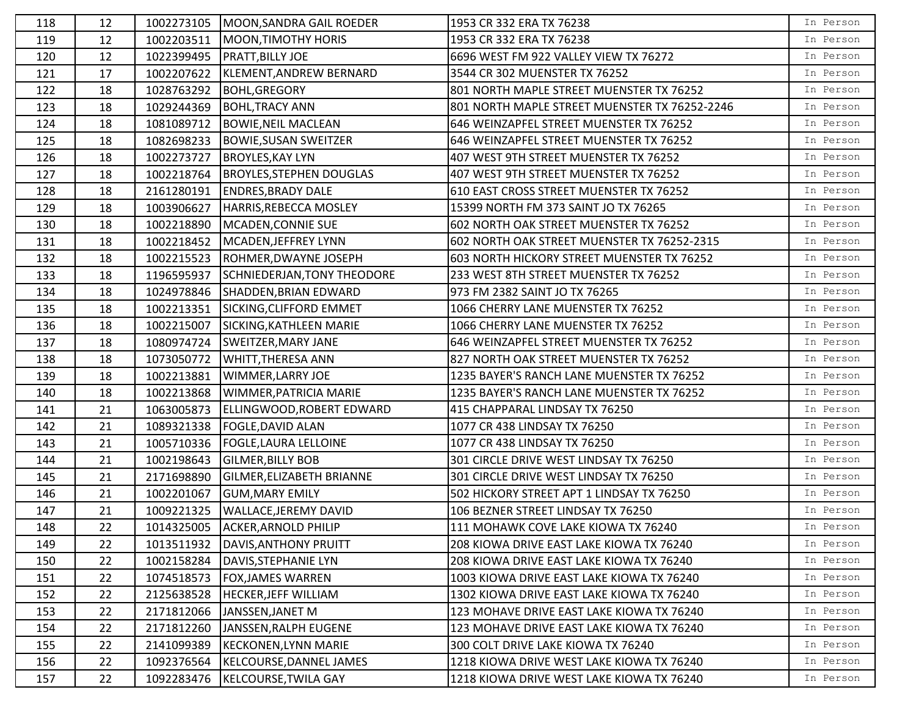| 118 | 12 |            | 1002273105   MOON, SANDRA GAIL ROEDER | 1953 CR 332 ERA TX 76238                      | In Person |
|-----|----|------------|---------------------------------------|-----------------------------------------------|-----------|
| 119 | 12 | 1002203511 | MOON, TIMOTHY HORIS                   | 1953 CR 332 ERA TX 76238                      | In Person |
| 120 | 12 |            | 1022399495  PRATT, BILLY JOE          | 6696 WEST FM 922 VALLEY VIEW TX 76272         | In Person |
| 121 | 17 | 1002207622 | KLEMENT, ANDREW BERNARD               | 3544 CR 302 MUENSTER TX 76252                 | In Person |
| 122 | 18 | 1028763292 | <b>BOHL, GREGORY</b>                  | 801 NORTH MAPLE STREET MUENSTER TX 76252      | In Person |
| 123 | 18 | 1029244369 | <b>BOHL, TRACY ANN</b>                | 801 NORTH MAPLE STREET MUENSTER TX 76252-2246 | In Person |
| 124 | 18 | 1081089712 | <b>BOWIE, NEIL MACLEAN</b>            | 646 WEINZAPFEL STREET MUENSTER TX 76252       | In Person |
| 125 | 18 | 1082698233 | <b>BOWIE, SUSAN SWEITZER</b>          | 646 WEINZAPFEL STREET MUENSTER TX 76252       | In Person |
| 126 | 18 | 1002273727 | <b>BROYLES, KAY LYN</b>               | 407 WEST 9TH STREET MUENSTER TX 76252         | In Person |
| 127 | 18 |            | 1002218764  BROYLES, STEPHEN DOUGLAS  | 407 WEST 9TH STREET MUENSTER TX 76252         | In Person |
| 128 | 18 | 2161280191 | <b>ENDRES, BRADY DALE</b>             | 610 EAST CROSS STREET MUENSTER TX 76252       | In Person |
| 129 | 18 | 1003906627 | HARRIS, REBECCA MOSLEY                | 15399 NORTH FM 373 SAINT JO TX 76265          | In Person |
| 130 | 18 | 1002218890 | MCADEN, CONNIE SUE                    | 602 NORTH OAK STREET MUENSTER TX 76252        | In Person |
| 131 | 18 | 1002218452 | MCADEN, JEFFREY LYNN                  | 602 NORTH OAK STREET MUENSTER TX 76252-2315   | In Person |
| 132 | 18 | 1002215523 | ROHMER, DWAYNE JOSEPH                 | 603 NORTH HICKORY STREET MUENSTER TX 76252    | In Person |
| 133 | 18 | 1196595937 | SCHNIEDERJAN, TONY THEODORE           | 233 WEST 8TH STREET MUENSTER TX 76252         | In Person |
| 134 | 18 | 1024978846 | SHADDEN, BRIAN EDWARD                 | 973 FM 2382 SAINT JO TX 76265                 | In Person |
| 135 | 18 | 1002213351 | SICKING, CLIFFORD EMMET               | 1066 CHERRY LANE MUENSTER TX 76252            | In Person |
| 136 | 18 | 1002215007 | SICKING, KATHLEEN MARIE               | 1066 CHERRY LANE MUENSTER TX 76252            | In Person |
| 137 | 18 | 1080974724 | SWEITZER, MARY JANE                   | 646 WEINZAPFEL STREET MUENSTER TX 76252       | In Person |
| 138 | 18 | 1073050772 | <b>WHITT, THERESA ANN</b>             | 827 NORTH OAK STREET MUENSTER TX 76252        | In Person |
| 139 | 18 | 1002213881 | WIMMER, LARRY JOE                     | 1235 BAYER'S RANCH LANE MUENSTER TX 76252     | In Person |
| 140 | 18 | 1002213868 | WIMMER, PATRICIA MARIE                | 1235 BAYER'S RANCH LANE MUENSTER TX 76252     | In Person |
| 141 | 21 | 1063005873 | ELLINGWOOD, ROBERT EDWARD             | 415 CHAPPARAL LINDSAY TX 76250                | In Person |
| 142 | 21 |            | 1089321338  FOGLE, DAVID ALAN         | 1077 CR 438 LINDSAY TX 76250                  | In Person |
| 143 | 21 | 1005710336 | <b>FOGLE, LAURA LELLOINE</b>          | 1077 CR 438 LINDSAY TX 76250                  | In Person |
| 144 | 21 | 1002198643 | <b>GILMER, BILLY BOB</b>              | 301 CIRCLE DRIVE WEST LINDSAY TX 76250        | In Person |
| 145 | 21 | 2171698890 | GILMER, ELIZABETH BRIANNE             | 301 CIRCLE DRIVE WEST LINDSAY TX 76250        | In Person |
| 146 | 21 | 1002201067 | <b>GUM, MARY EMILY</b>                | 502 HICKORY STREET APT 1 LINDSAY TX 76250     | In Person |
| 147 | 21 | 1009221325 | <b>WALLACE, JEREMY DAVID</b>          | 106 BEZNER STREET LINDSAY TX 76250            | In Person |
| 148 | 22 |            | 1014325005 ACKER, ARNOLD PHILIP       | 111 MOHAWK COVE LAKE KIOWA TX 76240           | In Person |
| 149 | 22 | 1013511932 | DAVIS, ANTHONY PRUITT                 | 208 KIOWA DRIVE EAST LAKE KIOWA TX 76240      | In Person |
| 150 | 22 | 1002158284 | DAVIS, STEPHANIE LYN                  | 208 KIOWA DRIVE EAST LAKE KIOWA TX 76240      | In Person |
| 151 | 22 | 1074518573 | <b>FOX, JAMES WARREN</b>              | 1003 KIOWA DRIVE EAST LAKE KIOWA TX 76240     | In Person |
| 152 | 22 | 2125638528 | <b>HECKER, JEFF WILLIAM</b>           | 1302 KIOWA DRIVE EAST LAKE KIOWA TX 76240     | In Person |
| 153 | 22 | 2171812066 | JANSSEN, JANET M                      | 123 MOHAVE DRIVE EAST LAKE KIOWA TX 76240     | In Person |
| 154 | 22 | 2171812260 | JANSSEN, RALPH EUGENE                 | 123 MOHAVE DRIVE EAST LAKE KIOWA TX 76240     | In Person |
| 155 | 22 | 2141099389 | KECKONEN, LYNN MARIE                  | 300 COLT DRIVE LAKE KIOWA TX 76240            | In Person |
| 156 | 22 | 1092376564 | KELCOURSE, DANNEL JAMES               | 1218 KIOWA DRIVE WEST LAKE KIOWA TX 76240     | In Person |
| 157 | 22 | 1092283476 | KELCOURSE, TWILA GAY                  | 1218 KIOWA DRIVE WEST LAKE KIOWA TX 76240     | In Person |